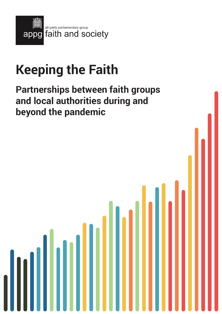

# **Keeping the Faith**

## **Partnerships between faith groups and local authorities during and beyond the pandemic**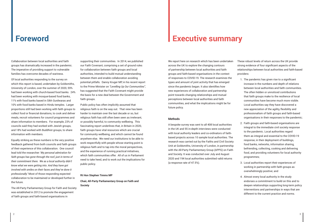## **Foreword Executive summary**

Collaboration between local authorities and faith groups has dramatically increased in the pandemic. The imperative of providing support to vulnerable families has overcome decades of wariness.

Of local authorities responding to the survey on which this report is based, undertaken by Goldsmiths, University of London, over the summer of 2020, 59% had been working with church-based food banks. 24% had been working with mosque-based food banks, 11% with food banks based in Sikh Gurdwaras and 10% with food banks based in Hindu temples. Larger proportions still had been working with faith groups to collect food or financial donations, to cook and deliver meals, recruit volunteers for council programmes and share information to members. For example, 23% of councils said they had worked with Jewish groups, and 18% had worked with Buddhist groups, to share information with members.

Equally striking as these numbers is the very positive feedback gathered from both councils and faith groups of their experience of this collaboration. One council lead told the researcher: *'My personal admiration for faith groups has gone through the roof, just in terms of their commitment there. We as a local authority didn't know what we were getting into. And they have got involved with smiles on their faces and they've done it professionally.'* Most of those responding expected collaboration to be maintained or developed further in the future.

The All-Party Parliamentary Group for Faith and Society was established in 2012 to promote the engagement of faith groups and faith-based organisations in

supporting their communities. In 2014, we published our Faith Covenant, comprising a set of ground rules for collaboration between faith groups and local authorities, intended to build mutual understanding between them and enable collaboration avoiding potential pitfalls. Danny Kruger MP, in his recent report to the Prime Minister on *"Levelling Up Our Communities"*, has suggested that the Faith Covenant might provide the basis for a new deal between the Government and faith groups.

Public policy has often implicitly assumed that religious faith is on the way out. That view has been harder to maintain over the last decade or so, but religious faith has still often been seen as irrelevant, or possibly harmful, to community wellbeing. This fascinating report underlines that, in Britain in 2020, faith groups have vital resources which are crucial for community wellbeing, and which cannot be found anywhere else. We need our institutions to be able to work respectfully with people whose starting point is religious faith and to tap into the moral perspectives, and the experience of running practical initiatives, which faith communities offer. All of us in Parliament need to take heed, and to work out the implications for public policy.

#### **Rt Hon Stephen Timms MP**

**Chair, All-Party Parliamentary Group on Faith and Society**

We report here on research which has been undertaken across the UK to explore the changing contours of partnership between local authorities and faith groups and faith-based organisations in the context of responses to COVID-19. The research examines the types and amount of joint activity that has emerged since the pandemic began. It also identifies how new experiences of collaboration and partnership point towards changing relationships and mutual perceptions between local authorities and faith communities, and what the implications might be for future policy.

#### **Methods**

A bespoke survey was sent to all 408 local authorities in the UK and 55 in-depth interviews were conducted with local authority leaders and co-ordinators of faithbased projects across 10 sample local authorities. The research was carried out by the Faiths and Civil Society Unit at Goldsmiths, University of London, in partnership with the All-Party Parliamentary Group (APPG) on Faith and Society. It was conducted over July and August 2020 and 194 local authorities submitted valid returns (a response rate of 47.5%).



These robust levels of return across the UK provide strong evidence of four significant aspects of the relationships between local authorities and faith-based providers:

- 1. The pandemic has given rise to a significant increase in the numbers and depth of relations between local authorities and faith communities. The often hidden or unnoticed contributions that faith groups make to the resilience of local communities have become much more visible. Local authorities say they have discovered a new appreciation of the agility, flexibility and professionalism of faith groups and faith-based organisations in their responses to the pandemic;
- 2. Faith groups and faith-based organisations are integral to the immediate civil society response to the pandemic. Local authorities regard them as integral and essential to the COVID-19 response, in their deployment of buildings, food banks, networks, information sharing, befriending, collecting, cooking and delivering food, and providing volunteers for local authority programmes;
- 3. Local authorities report their experiences of working in partnership with faith groups as overwhelmingly positive; and
- 4. Almost every local authority in the study endorses a commitment to build on this and to deepen relationships supporting long-term policy interventions and partnerships in ways that are different to the current practice and norms.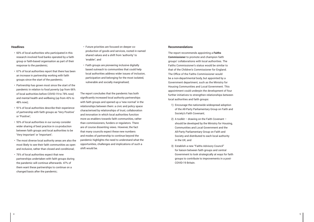#### **Headlines**

- 60% of local authorities who participated in this research involved food banks operated by a faith group or faith-based organisation as part of their response to the pandemic;
- 67% of local authorities report that there has been an increase in partnership working with faith groups since the start of the pandemic;
- Partnership has grown most since the start of the pandemic in relation to food poverty (up from 66% of local authorities before COVID-19 to 78% now) and mental health and wellbeing (up from 43% to 48% now);
- 91% of local authorities describe their experience of partnership with faith groups as 'Very Positive' or 'Positive';
- 93% of local authorities in our survey consider wider sharing of best practice in co-production between faith groups and local authorities to be 'Very Important' or 'Important';
- The most diverse local authority areas are also the most likely to see their faith communities as open and inclusive, rather than closed and conditional;
- 76% of local authorities expect that new partnerships undertaken with faith groups during the pandemic will continue afterwards. 47% of them want these partnerships to continue on a changed basis after the pandemic;
- Future priorities are focused on deeper coproduction of goods and services, rooted in named shared values and a shift from 'authority' to 'enabler'; and
- Faith groups are pioneering inclusive digitally based outreach to communities that could help local authorities address wider issues of inclusion, participation and belonging for the most isolated, vulnerable and socially marginalised;

The report concludes that the pandemic has both significantly increased local authority partnerships with faith groups and opened up a 'new normal' in the relationships between them: a civic and policy space characterised by relationships of trust, collaboration and innovation in which local authorities function more as enablers towards faith communities, rather than commissioners, funders or regulators. There are of course dissenting views. However, the fact that many councils expect these new numbers and modes of partnership to continue beyond the pandemic highlights the need to understand what the opportunities, challenges and implications of such a shift would be.

#### **Recommendations**

The report recommends appointing a **Faiths Commissioner** to promote and champion faith groups' collaborations with local authorities. The Faiths Commissioner's status would be similar to that of the Children's Commissioner for England. The Office of the Faiths Commissioner would be a non-departmental body, but appointed by a Government department, such as the Ministry for Housing Communities and Local Government. This appointment could underpin the development of four further initiatives to strengthen relationships between local authorities and faith groups:

- 1) Encourage the nationwide widespread adoption of the All-Party Parliamentary Group on Faith and Society's Faith Covenant;
- 2) A toolkit drawing on the Faith Covenant should be developed by the Ministry for Housing, Communities and Local Government and the All-Party Parliamentary Group on Faith and Society and distributed to each local authority in the UK; and
- 3) Establish a new "Faiths Advisory Council" for liaison between faith groups and central Government to look strategically at ways for faith groups to contribute to improvements in a post-COVID-19 Britain.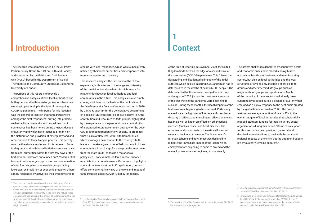## **Introduction Context**

# **1**

The research was commissioned by the All-Party Parliamentary Group (APPG) on Faith and Society, and conducted by the Faiths and Civil Society Unit (FCSU) based in the Department of Social, Therapeutic and Community Studies at Goldsmiths, University of London.

The purpose of this report is to provide a comprehensive analysis of how local authorities and faith groups and faith-based organisations have been working in partnership in the light of the ongoing COVID-19 pandemic. The impetus for this research was the general perception that faith groups were amongst the 'first responders', putting into practice well-established networks and procedures that in some cases had been honed during the past decade of austerity and which have focussed primarily on the distribution and provision of emergency food and other support to those living in poverty. This activity was the therefore a key focus of this research. Some faith groups and faith-based initiatives $^1$  received calls from local authorities within the first few days of the first national lockdown announced on 23rd March 2020 to step in with emergency provision and co-ordination of vital food supplies to vulnerable groups facing lockdown, self-isolation or economic precarity. Others simply responded by activating their own networks to

step up very local responses, which were subsequently noticed by their local authorities and incorporated into more strategic forms of delivery.

The severe challenges generated by concurrent health and economic crises have placed a heavy burden not only on healthcare, business and manufacturing sectors, but also on local authorities and the local structures of civil society, including charities, faith groups and other intermediate groups such as neighbourhood groups and sports clubs. Much of the capacity of these sectors had already been substantially reduced during a decade of austerity that emerged as a policy response to the debt crisis created by the global financial crash of 2008. The policy featured an average reduction of nearly 50% to the overall budgets of local authorities that substantially reduced statutory funding for local voluntary sector organisations during this period.4 Some extra support for this sector has been provided by central and devolved administrations to deal with the local and regional impacts of the crisis, but the strain on budgets left by austerity remains apparent.<sup>5</sup>

This research analyses the first six months of that experience, both in terms of the range and intensity of the provision, but also what this might mean for relationships between local authorities and faith communities in the future. This analysis is also timely, coming as it does on the heels of the publication of the *Levelling Up Our Communities* report written in 2020 by Danny Kruger MP for the Conservative government, on possible future trajectories of civil society. In it, the contribution and resources of faith groups, highlighted by the experience of the pandemic, are a central pillar of a proposed future government strategy for the post-COVID-19 reconstruction of civil society.2 It proposes what it calls a 'New Deal with Faith Communities', which envisages an invitation to the country's faith leaders to 'make a grand offer of help on behalf of their communities, in exchange for a reciprocal commitment from the state' (p.35) to tackle a major social policy area – for example, children in care, prisoner rehabilitation or homelessness. Our research highlights some of the trends set out in Kruger's report, but also offers some alternative views of the role and impact of faith groups in a post COVID-19 policy landscape.

At the time of reporting in November 2020, the United Kingdom finds itself on the edge of a second wave of the coronavirus (COVID-19) pandemic. This follows the devastating and disorientating impacts of the initial outbreak which peaked in spring 2020, and which has to date resulted in the deaths of nearly 42,000 people.3 The data collected for this research was gathered in July and August of 2020, just as the most severe impacts of the first wave of the pandemic were beginning to subside. During these months, the health impacts of the first wave were beginning to be assessed. Particularly marked were the high loss of life, race and class-based disparity of effects, and the collateral effects on mental health as well as knock-on effects on other serious illnesses (such as cancer and heart disease). The economic and social costs of the national lockdown were also beginning to emerge. The Government's furlough scheme and other measures designed to mitigate the immediate impact of the lockdown on employment are beginning to come to an end and the unemployment rate was beginning to rise steeply.

<sup>1</sup> This report will predominantly use the term 'faith groups' as a general concept to indicate the response of the faith sector as a whole. The term 'faith-based organisations ' will also be occasionally used to represent the diversity of this field, and include those organisations and networks that are run as separate entities to the worshipping institution that sponsor them, or are organisations strongly imbued with religious values but do not exhibit an explicit religious identity.

<sup>3</sup> This was the official UK Government figure for September 28th 2020. https://coronavirus.data.gov.uk/

<sup>4</sup> https://publications.parliament.uk/pa/cm201719/cmselect/cmcomloc/2036/203605.htm Retrieved October 19th, 2020.

<sup>2</sup> Levelling Up Our Communities; proposals for a new social covenant (Sept 2020) https://www.dannykruger.org.uk/communities-report Retrieved October 3rd, 2020.

<sup>5</sup> For example, £1.6 billion was earmarked for local authorities across the UK to deal with the immediate impact of COVID-19. https:// www.gov.uk/government/news/government-pledges-extra-16-billion-for-councils Retrieved September 28th 2020.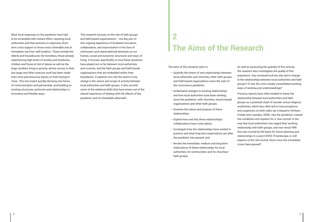Most local responses to the pandemic have had to be scrambled with instant effect, requiring local authorities and their partners to improvise shortterm crisis support to those most vulnerable and at immediate risk from self-isolation. These include the elderly and housebound, the homeless, those already experiencing high levels of anxiety and loneliness, children and those at risk of abuse as well as the large numbers living in poverty, whose access to their low-wage and often insecure work has been made even more precarious by places of work having to close. This has meant quickly devising new forms of communication and partnership, and building on existing structures, protocols and relationships in innovative and flexible ways.

This research focuses on the role of faith groups and faith-based organisations – one key part of this ongoing experience of localised innovation, collaboration, and improvisation in the face of unforeseen and unprecedented demands on our human, social and economic structures and ways of living. It focuses specifically on how these dynamics have played out so far between local authorities and councils, and the faith groups and faith-based organisations that are embedded within their boundaries. It explores not only the *extent of any change* in the nature and scope of activity between local authorities and faith groups. It also records some of the *relational shifts* that have arisen out of the shared experience of dealing with the effects of the pandemic and its immediate aftermath.

The aims of this research were to:

- Quantify the extent of new relationships between local authorities and churches, other faith groups, and faith-based organisations since the start of the coronavirus pandemic;
- Understand changes to existing relationships and how local authorities have been working since the pandemic, with churches, church-based organisations and other faith groups;
- Examine the nature and purpose of these relationships;
- Explore how and why these relationships/ collaborations have come about;
- Investigate how the relationships have worked in practice and what long term expectations are after the pandemic has passed; and
- Review the immediate, medium and long-term implications of these relationships for local authorities, for communities and for churches/ faith groups.

As well as measuring the *quantity* of this activity, the research also investigates the *quality* of this experience. Has increased activity also led to change in the relationships between local authorities and faith groups? Or has the crisis simply consolidated existing ways of working and understandings?

Previous reports have often tended to frame the relationship between local authorities and faith groups as a potential clash of secular versus religious worldviews, which has often led to misconceptions and suspicions on both sides (as critiqued in Dinham, Furbey and Lowndes, 2009). Has the pandemic created the conditions and impetus for a 'new normal' in the way that local authorities now regard their working relationship with faith groups, and vice versa? Will this new normal be the basis for future planning and relationships in a post-COVID-19 landscape, or will aspects of the 'old normal' return once the immediate crises have passed?

## **The Aims of the Research 2**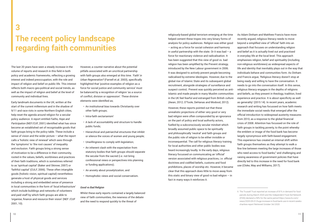The last 20 years have seen a steady increase in the volume of reports and research in this field in both policy and academic frameworks, reflecting a growing interest and indeed preoccupation, with the role and impact of religion and belief on public life. This interest reflects both macro geo-political and social trends, as well as the impact of religion and belief at the level of community and individual lives.

Early landmark documents in the UK, written at the start of the current millennium and in the shadow of 9/11 and race riots in some Northern English cities, help reset the agenda around religion for a secular policy audience. A report entitled *Faiths, Hope and Participation* (NEF/CUF, 2001) identified what has since become an established set of recognisable goods that faith groups bring to the policy table. These include a sense of vision and the wider picture – what the report calls a 'holistic view of renewal' which sees through the 'symptoms' to 'the root causes' of inequality and exclusion. Faith groups bring a strong sense of motivation to be a difference in their community, rooted in the values, beliefs, worldviews and practices of their faith traditions, which is sometimes referred to as 'spiritual capital' (Baker and Skinner, 2007) or 'faithful capital' (CULF, 2006). These often intangible goods (holistic vision, spiritual capital) nevertheless generate a host of physical goods and services including a strong and embedded sense of presence in local communities in the form of *'local infrastructure'* which include buildings and networks of volunteers and paid staff by which faith groups are able to 'organise, finance and resource their vision' (NEF /CUF 2001, 10).

However, a counter narrative about the potential pitfalls associated with an uncritical partnership with faith groups also emerged at this time. *'Faith' in Urban Regeneration?* (Farnell et.al. 2003), specifically highlighted that 'positive examples of religion as a force for social justice and community service' must be balanced by a recognition of religion 'as a source of conflict, division or oppression'. These divisive elements were identified as;

- An institutional bias towards Christianity over other faith groups;
- Intra-faith sectarianism'
- A lack of accountability and structure to handle public funds;
- Hierarchical and patriarchal structures that inhibit or silence the voices of women and young people;
- Unwillingness to comply with legislation;
- An inherent clash with the expectation from statutory bodies that faith groups should separate the secular from the sacred (i.e. not bring confessional views or perspectives into planning or funding applications);
- An anxiety about proselytization; and
- Homophobic views and social conservatism.

#### *Good vs Bad Religion*

Whilst these early reports contained a largely balanced view of faith communities, the newness of the debate and the need to respond quickly to the threat of

# **The recent policy landscape regarding faith communities 3**

prohibitions, places of worship etc. However, it became clear that this approach does little to move away from this static and binary view of good vs bad religion  $-$  in fact in many ways it reinforces it.

religiously-based global terrorism emerging at the time helped cement these tropes into very binary forms of analysis for policy audiences. Religion was either good – acting as a force for social cohesion and harmony in useful partnership with the state. Or it was bad  $-$  a force for reactionary violence and radicalisation. It has been suggested that this view of good vs. bad religion has been amplified by the Prevent strategy, introduced by the New Labour government in 2006. It was designed to actively prevent people becoming radicalised by extreme ideologies. However, due to the global rise of Islamic State and its subsequent global recruitment, alongside strategies of surveillance and suspect control, Prevent was quickly perceived as anti-Islamic and made people in many Muslim communities in the UK feel fearful and estranged from British culture (Awan, 2012; O'Toole, DeHanas and Modood, 2012). However, these reports pointed out that these unrealistic projections of either very good or very bad religion were often compounded by an ignorance on the part of policy and local authority actors, fuelled by a subconsciously secular mindset which broadly assumed public space to be spiritually and philosophically 'neutral' and faith groups and the public role of religion to be either invisible or inconsequential. The call for religious literacy training for local authorities and other public bodies was heard increasingly loudly. In the early days, religious literacy focussed on communicating an 'official' version associated with religious practices, i.e. official doctrines and codified beliefs, customs and food As Adam Dinham and Matthew Francis have more recently argued, religious literacy needs to move beyond a simplified view of 'official' faith into an approach that focuses on understanding religion and belief as it is actually lived out and practised in everyday life at the local level. This approach emphasises religion, belief and spirituality (including non-religious worldviews) as widespread aspects of life and identity that inevitably plays out in the way that individuals behave and communities form. As Dinham and Francis argue, 'Religious literacy doesn't stop at being ready and willing to have the conversation. It needs to go into the conversation itself. In this sense, religious literacy engages in the depths of religions and beliefs, as they present in theology, tradition, lived experience and practice. It is about specificity as well as generality' (2015 14). In recent years, academic research and writing has focussed on how faith meets the immediate social needs that emerged after the official introduction to widespread austerity measures from 2010, as a response to the global financial crisis of 2008. Attention has focussed on the role of faith groups in tackling poverty, to the point whereby the emblem or image of the food bank has become largely synonymous with faith-based engagement. This experience has created an internal shift within faith groups themselves as they attempt to walk a fine line between meeting the large increases of those who need access to food banks,<sup>6</sup> and challenging and raising awareness of government policies that have directly led to this increase in the need for food bank use (Cloke, May and Williams, 2017).

<sup>6</sup> The Trussell Trust reported an increase of 81% in demand for food parcels during March 2020 and the Independent Food Aid Network (IFAN) declared a 59% for the same period https://www.itv.com/ news/2020-05-01/huge-increase-in-food-bank-use-in-recent-weekscharities-report Retrieved October 3rd 2020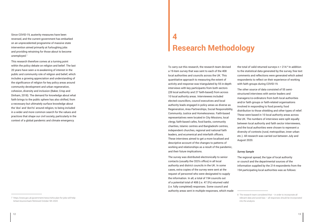Since COVID-19, austerity measures have been reversed, and the current government has embarked on an unprecedented programme of massive state intervention aimed primarily at furloughing jobs and providing retraining for those about to become unemployed. 7

This research therefore comes at a turning point within the policy debate on religion and belief. The last 20 years have seen a re-awakening of interest in the public and community role of religion and belief, which includes a growing appreciation and understanding of the significance of religion for key policy areas around community development and urban regeneration, cohesion, diversity and inclusion (Baker, Crisp and Dinham, 2018). The demand for knowledge about what faith brings to the public sphere has also shifted, from a necessary but ultimately surface knowledge about the 'dos' and 'don'ts' around religion, to being included in a wider and more common search for the values and practices that shape our civil society, particularly in the context of a global pandemic and climate emergency.

# **Research Methodology**

the total of valid returned surveys  $n = 214$ .<sup>8</sup> In addition to the statistical data generated by the survey, free text comments and reflections were generated which asked respondents to reflect on their experience of working with faith groups during COVID-19.

To carry out this research, the research team devised a 19-item survey that was sent to each of the 408 local authorities and councils across the UK. This quantitative approach to measuring the extent of activity and response was triangulated by 55 in-depth interviews with key participants from both sectors (28 local authority and 27 faith-based) from across 10 local authority areas. Interviewees included elected councillors, council executives and local authority leads engaged in policy areas as diverse as Regeneration, Area Partnerships, Social Responsibility, Community Justice and Homelessness. Faith-based representatives were located in City Missions, local clergy, faith-based cafes, food banks, community charities, Islamic centres and Bangladeshi centres, independent churches, regional and national faith leaders, and ecumenical and interfaith officers. These interviews aimed to get a more localised and descriptive account of the changes to patterns of working and relationships as a result of the pandemic, and their future implications.

The survey was distributed electronically to senior contacts (usually the CEO's office) in all local authority and district councils in the UK. In some cases, extra copies of the survey were sent at the request of personnel who were designated to supply the information. In all, a total of 194 councils out of a potential total of 408 (i.e. 47.5%) returned valid (i.e. fully completed) responses. Some council and authority areas sent in multiple responses, which made

The other source of data consisted of 55 semistructured interviews with senior leaders and managers/co-ordinators from both local authorities and/or faith groups or faith-related organisations involved in responding to food poverty, food distribution to those shielding and other types of relief. These were based in 10 local authority areas across the UK. The numbers of interviews were split equally between local authority and faith sector interviewees, and the local authorities were chosen to represent a diversity of contexts (rural, metropolitan, inner urban etc.). All research was carried out between July and August 2020.

#### *Survey Sample*

The regional spread, the type of local authority or council and the departmental sources of the information supplied by the 214 respondents from the 194 participating local authorities was as follows:

<sup>7</sup> https://www.gov.uk/government/news/rishis-plan-for-jobs-will-helpbritain-bounce-back Retrieved October 5th 2020

<sup>8</sup> The research team considered that – in order to incorporate all relevant data and avoid bias – all responses should be incorporated into the analysis.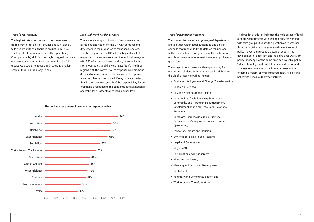#### *Type of Local Authority*

The highest rate of response to the survey were from lower tier (or district) councils at 43%, closely followed by unitary authorities on just under 40%. The lowest rate of response was the upper tier (or County councils) at 11%. This might suggest that data concerning engagement and partnership with faith groups was easier to access and report at smallerscale authorities than larger ones.

#### *Local Authority by region or nation*

There was a strong distribution of response across all regions and nations of the UK, with some regional differences in the proportion of responses received. The three regions in the UK with the highest level of response to the survey were the Greater London region with 76% of all boroughs responding, followed by the North West (69%) and the North East (67%). The three regions with the lowest level of response were from the devolved administrations. The low rates of response from the other nations of the UK may indicate the fact that, in these contexts, much of the responsibility for coordinating a response to the pandemic lies at a national assembly level, rather than at local council level.



#### *Type of Departmental Response*

The survey discovered a large range of departments and job titles within local authorities and district councils that responded with data on religion and faith. The number of categories and the distribution of results is too wide to represent in a meaningful way in graph form.

The range of departments with responsibility for monitoring relations with faith groups, in addition to the Chief Executive's Office include:

- Business Intelligence and Change/Transformation;
- Children's Services;
- City and Neighbourhood Assets;
- Communities (including Neighbourhoods, Community and Partnerships, Engagement, Development, Planning, Resources, Relations, Services etc.);
- Corporate Business (including Business Partnerships, Management, Policy, Resources, Operations);
- Education, Leisure and Housing;
- Environmental Health and Housing;
- Legal and Governance;
- Mayor's Office;
- Participation and Engagement;
- Place and Wellbeing;
- Planning and Economic Development;
- Public Health;
- Voluntary and Community Sector; and
- Workforce and Transformation.

The breadth of this list indicates the wide spread of local authority departments with responsibility for working with faith groups. It raises the question as to whether this cross-cutting across so many different areas of policy makes faith groups a potential asset in the development of a resilient and inclusive post COVID-19 policy landscape. At the same time however, this policy 'intersectionality' could inhibit more constructive and strategic relationships in the future because of the ongoing 'problem' of where to locate faith, religion and belief within local authority structures.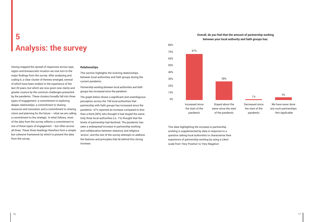Having mapped the spread of responses across type, region and bureaucratic location we now turn to the major findings from the survey. After analysing and coding it, a clear cluster of themes emerged, several of which have been evident in the experience of the last 20 years, but which are now given new clarity and greater nuance by the common challenges presented by the pandemic. These clusters broadly fall into three types of engagement: a commitment to exploring deeper *relationships*, a commitment to sharing *resources* and *innovation*, and a commitment to sharing vision and planning for the future  $-$  what we are calling a commitment to the *strategic*. In what follows, most of the data from the survey reflects a commitment to one of these types of engagement – but often across all three. These three headings therefore form a simple but cohesive framework by which to present the data from the survey.

#### **Relationships**

This section highlights the evolving relationships between local authorities and faith groups during the current pandemic.

*Partnership working between local authorities and faith groups has increased since the pandemic*

The graph below shows a significant and unambiguous perception across the 194 local authorities that partnership with faith groups has increased since the pandemic. 67% reported an increase compared to less than a third (28%) who thought it had stayed the same. Only three local authorities (i.e. 1%) thought that the levels of partnership had declined. The pandemic has seen a widespread increase in partnership working and collaboration between statutory and religious 'actors', and the rest of the survey attempts to address the features and principles that lie behind this strong increase.

## **Analysis: the survey 5 Overall, do you feel that the amount of partnership working**





Decreased since the start of the pandemic

1%

We have never done any such partnerships - Not Applicable

3%

This data highlighting the increase in partnership working is supplemented by data in response to a question asking local authorities to characterise their experience of partnership working by using a Likert scale from 'Very Positive' to 'Very Negative'.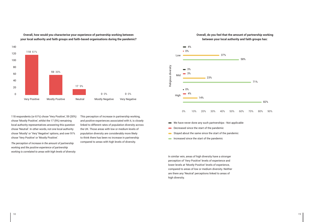**Overall, how would you characterise your experience of partnership working between your local authority and faith groups and faith-based organisations during the pandemic?**



118 respondents (or 61%) chose 'Very Positive', 59 (30%) chose 'Mostly Positive', whilst the 17 (9%) remaining local authority representatives answering this question chose 'Neutral'. In other words, not one local authority chose 'Mostly' or 'Very' Negative' options, and over 91% chose 'Very Positive' or 'Mostly Positive'.

*The perception of increase in the amount of partnership working and the positive experience of partnership working is correlated to areas with high levels of diversity.* This perception of increase in partnership working, and positive experiences associated with it, is closely linked to different rates of population diversity across the UK. Those areas with low or medium levels of population diversity are considerably more likely to think there has been no increase in partnership compared to areas with high levels of diversity.





- We have never done any such partnerships Not applicable
- Decreased since the start of the pandemic
- Stayed about the same since the start of the pandemic
- Increased since the start of the pandemic

In similar vein, areas of high diversity have a stronger perception of 'Very Positive' levels of experience and lower levels at 'Mostly Positive' levels of experience, compared to areas of low or medium diversity. Neither are there any 'Neutral' perceptions linked to areas of high diversity.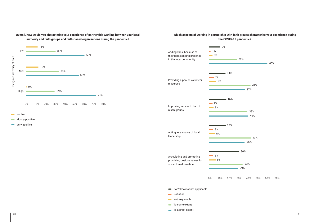**Neutral** 

**Mostly positive** 

very positive

## **Overall, how would you characterise your experience of partnership working between your local authority and faith groups and faith-based organisations during the pandemic?**





- Not very much
- $\blacksquare$  To some extent
- **■** To a great extent

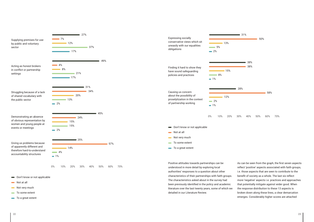



- Don't know or not applicable
- $\longrightarrow$  Not at all
- Not very much
- $\blacksquare$  To some extent
- $\bullet$  To a great extent

Positive attitudes towards partnerships can be understood in more detail by exploring local authorities' responses to a question about other characteristics of their partnerships with faith groups. The characteristics asked about in the survey had been previously identified in the policy and academic literature over the last twenty years, some of which we detailed in our Literature Review.

As can be seen from the graph, the first seven aspects reflect 'positive' aspects associated with faith groups, i.e. those aspects that are seen to contribute to the benefit of society as a whole. The last six reflect more 'negative' aspects i.e. practices and approaches that potentially mitigate against wider good. When the response distribution to these 13 aspects is broken down along these lines, a clear demarcation emerges. Considerably higher scores are attached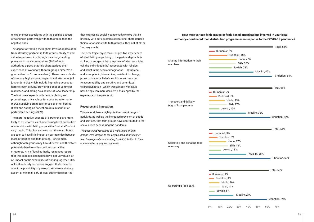to experiences associated with the positive aspects of working in partnership with faith groups than the negative ones.

The aspect attracting the highest level of appreciation from statutory partners is faith groups' ability to add value to partnerships through their longstanding presence in local communities (88% of local authorities agreed that this characterised their experience of working with faith groups either 'to a great extent' or 'to some extent'). Then come a cluster of similarly highly scored aspects and attributes (all just under 80%) which include improving access to hard to reach groups, providing a pool of volunteer resources, and acting as a source of local leadership. The last three aspects include articulating and promoting positive values for social transformation (62%), supplying premises for use by other bodies (54%) and acting as honest brokers in conflict or partnership settings (38%).

The more 'negative' aspects of partnership are more likely to be reported as characterising local authorities' relationships with faith groups either 'not at all' or 'not very much'. This clearly shows that these attributes are seen to have little impact on partnerships between local authorities and faith groups. For example, although faith groups may have different and therefore potentially hard-to-understand accountability structures, 71% of local authority responses report that this aspect is deemed to have 'not very much' or no impact on the experience of working together. 70% of local authority responses suggest that concerns about the possibility of proselytization were similarly absent or minimal. 63% of local authorities reported

that 'expressing socially conservative views that sit uneasily with our equalities obligations' characterised their relationships with faith groups either 'not at all' or 'not very much'.

| Humanist, 5%                                                                   | Buddhist, 18%<br>Hindu, 27%<br>Sikh, 26%<br>Jewish, 23% | Total, 66%                       |
|--------------------------------------------------------------------------------|---------------------------------------------------------|----------------------------------|
|                                                                                |                                                         | Muslim, 46%<br>Christian, 64%    |
| Humanist, 2%                                                                   |                                                         | $\blacktriangleright$ Total, 65% |
| Buddhist, 7%<br><b>Hindu, 15%</b><br>Sikh, 17%<br>Jewish, 10%                  | Muslim, 38%                                             |                                  |
|                                                                                |                                                         | Christian, 62%                   |
| Humanist, 3%<br>Buddhist, 8%<br><b>Hindu, 17%</b><br>Sikh, 19%<br>Jewish, 13%  |                                                         | Total, 64%                       |
|                                                                                | Muslim, 38%                                             | Christian, 62%                   |
|                                                                                |                                                         |                                  |
| • Humanist, 1%<br>Buddhist, 4%<br><b>Hindu, 10%</b><br>Sikh, 11%<br>Jewish, 5% |                                                         | Total, 60%                       |

The clear trajectory in favour of positive experiences of what faith groups bring to the partnership table is striking. It suggests that the power of what we might call the 'old shibboleths' associated with religion and belief in the secular imagination – patriarchal and homophobic, hierarchical, resistant to change, prone to irrational beliefs, exclusive and resistant to accountability and scrutiny, and committed to proselytization - which was already waning, is now being even more decisively challenged by the experience of the pandemic.

#### **Resource and Innovation**

This second theme highlights the current range of activities, as well as the increased provision of goods and services, that faith groups have contributed to the social crises seen during the pandemic.

*The assets and resources of a wide range of faith groups were integral to the ways local authorities met the challenges of co-ordinating food distribution to their communities during the pandemic.* 

**How were various faith groups or faith-based organisations involved in your local** 

## **authority-coordinated food distribution programmes in response to the COVID-19 pandemic?**

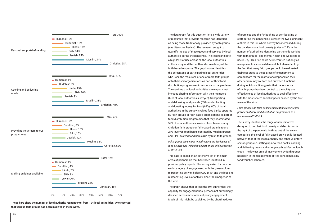

**These bars show the number of local authority respondents, from 194 local authorities, who reported that various faith groups had been involved in these ways.**

The data graph for this question lists a wide variety of resources that previous research has identified as being those traditionally provided by faith groups (see Literature Review). The research sought to quantify the use of these goods and services by local authorities during the pandemic. The results indicate a high level of use across all the local authorities in the survey, and the depth and consistency of the faith-based response. The graph above identifies the percentage of participating local authorities who used the resources of one or more faith groups or faith-based organisations as part of their food distribution programmes in response to the pandemic. The services that local authorities drew upon most included sharing information with their members (66% of local authorities surveyed), transporting and delivering food parcels (65%) and collecting and donating money for food (62%). 60% of local authorities in the survey involved food banks operated by faith groups or faith-based organisations as part of food distribution programmes that they coordinated. 59% of local authorities involved food banks run by Christian faith groups or faith-based organisations, 24% involved food banks operated by Muslim groups, and 11% involved food banks run by Sikh faith groups.

*Faith groups are central to addressing the key issues of food poverty and wellbeing as part of the crisis response to COVID-19*

This data is based on an extensive list of the main areas of partnership that have been identified in previous policy reports. The survey asked for data on each category of engagement, with the green column representing activity before COVID-19, and the blue one representing levels of activity since the emergence of the virus.

The graph shows that across the 194 authorities, the capacity for engagement has, perhaps not surprisingly, declined across most areas of policy engagement. Much of this might be explained by the shutting down

of premises and the furloughing or self-isolating of staff during the pandemic. However, the two significant outliers in this list where activity has increased during the pandemic are food poverty (a rise of 12% in the number of authorities identifying partnership working with faith groups) and mental health and wellbeing (a rise in 7%). This rise could be interpreted not only as a response to increased demand, but also reflecting the fact that many faith groups could have diverted their resources to these areas of engagement to compensate for the restrictions imposed on their other community welfare and outreach functions during lockdown. It suggests that the response of faith groups has been central to the ability and effectiveness of local authorities to deal effectively with the most severe social impacts caused by the first wave of the virus.

## *Faith groups and faith-based organisations are integral providers of new food distribution programmes as a response to COVID-19*

The survey identifies the range of new initiatives designed to combat food poverty and destitution in the light of the pandemic. In three out of the seven categories, the level of faith-based provision is located between that of the local authority and other voluntary sector groups i.e. setting up new food banks, cooking and delivering meals and emergency breakfast or lunch clubs. The lowest area of involvement by faith groups has been in the replacement of free school meals by food voucher schemes.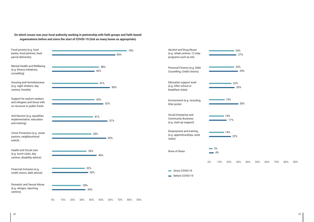**On which issues was your local authority working in partnership with faith groups and faith-based organisations before and since the start of COVID-19 (tick as many boxes as appropriate)**



<sup>29%</sup>

 $\blacksquare$  30%

0% 10% 20% 30% 40% 50% 60% 70% 80% 90%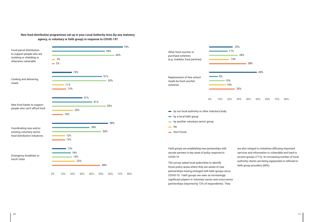### **New food distribution programmes set up in your Local Authority Area (by any statutory agency, or voluntary or faith group) in response to COVID-19?**



*Faith groups are establishing new partnerships with secular partners in key areas of policy response to COVID-19*



The survey asked local authorities to identify those policy areas where they are aware of new partnerships having emerged with faith groups since COVID-19. Faith groups are seen as increasingly significant players in voluntary sector and cross-sector partnerships (reported by 72% of respondents). They

are also integral to initiatives diffusing important services and information to vulnerable and hard to access groups (71%). An increasing number of local authority clients are being signposted or referred to faith group providers (69%).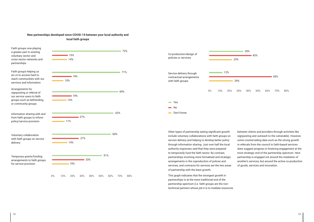### **New partnerships developed since COVID-19 between your local authority and local faith groups**





Other types of partnership seeing significant growth include voluntary collaborations with faith groups on service delivery and helping to develop better policy through information sharing. Just over half the local authority responses said that they were prepared to temporarily fund the faith sector. By contrast, partnerships involving more formalised and strategic arrangements in the coproduction of polices and services, and contracts for services are the two areas of partnership with the least growth.

This graph indicates that the strongest growth in partnerships is at the more traditional end of the partnership spectrum (i.e. faith groups are the nontechnical partners whose job it is to mediate resources between clients and providers through activities like signposting and outreach to the vulnerable). However, some countervailing data such as the strong growth in referrals from the council to faith-based services does suggest progress in fostering engagement at the more strategic end of the partnership spectrum. Here partnership is engaged not around the mediation of another's services, but around the active co-production of goods, services and innovation.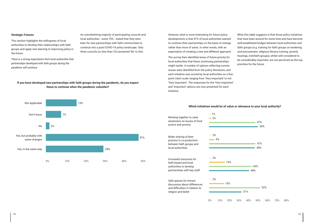#### **Strategic Futures**

This section highlights the willingness of local authorities to develop their relationships with faith groups and apply new learning to improving policy in the future.

*There is a strong expectation from local authorities that partnerships developed with faith groups during the pandemic will continue*

An overwhelming majority of participating councils and local authorities - some 76% - stated that they were keen for new partnerships with faith communities to continue into a post-COVID-19 policy landscape. Only three councils (or less than 2%) answered 'No' to this.

## **If you have developed new partnerships with faith groups during the pandemic, do you expect these to continue when the pandemic subsides?**



## However, what is more interesting for future policy developments is that 47% of local authorities wanted to continue their partnerships on the basis of change rather than more of same. In other words, with an expectation of creating a new and different approach.

The survey then identified areas of future priority for local authorities that these continuing partnerships might tackle. A number of options reflecting current issues were identified from the policy literatures, and each initiative was scored by local authorities on a fivepoint Likert scale ranging from 'Very Important' to not 'Very Important'. The responses for the 'Very Important' and 'Important' options are now presented for each initiative.

What this table suggests is that those policy initiatives that have been around for some time and have become well-established bridges between local authorities and faith groups (e.g. training for faith groups on tendering and procurement, religious literacy training, poverty hearings, interfaith groups), whilst still considered to be considerably important, are not perceived as the top priorities for the future.



**Which initiatives would be of value or relevance to your local authority?**

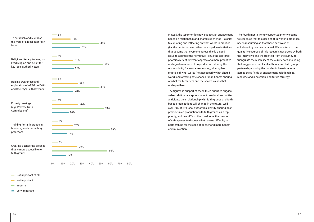

Instead, the top priorities now suggest an engagement based on relationship and shared experience – a shift to exploring and reflecting on what works in practice (i.e. the performative), rather than top-down initiatives that assume that everyone agrees this is a good issue to address (the normative). Thus the top three priorities reflect different aspects of a more proactive and egalitarian form of co-production: sharing the responsibility for awareness raising; sharing best practice of what works (not necessarily what should work); and creating safe spaces for an honest sharing of what really matters and the shared values that underpin them.

The figures in support of these three priorities suggest a deep shift in perceptions about how local authorities anticipate their relationship with faith groups and faithbased organisations will change in the future. Well over 90% of 194 local authorities identify sharing best practice in co-production with faith groups as a top priority, and over 80% of them welcome the creation of safe spaces to discuss what causes difficulty in partnerships for the sake of deeper and more honest communication.

- Not important at all
- Not important
- **Important**
- **■** Very important

The fourth most strongly supported priority seems to recognise that this deep shift in working practices needs resourcing so that these new ways of collaborating can be sustained. We now turn to the qualitative sources of this research, generated by both the interviews and the free text from the survey, to triangulate the reliability of the survey data, including that suggestion that local authority and faith group partnerships during the pandemic have interacted across three fields of engagement: relationships, resource and innovation, and future strategy.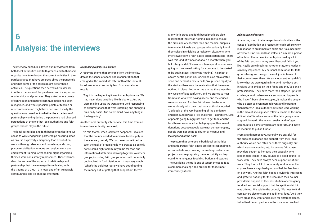## **Analysis: the interviews 6**

The interview schedule allowed our interviewees from both local authorities and faith groups and faith-based organisations to reflect on the current activities in their particular area that have emerged since the pandemic and what some of the drivers might be for these activities. The questions then delved a little deeper into the experience of the pandemic, and its impact on relationships and practices. They asked where points of connection and natural communication had been recognised, and where possible points of tension or miscommunication might have occurred. Finally, the question was posed as to whether the experience of partnership working during the pandemic had changed perceptions of the role that local authorities and faith groups should play in the future.

The local authorities and faith-based organisations we spoke to were engaged in partnerships covering areas as diverse as poverty, emergency food distribution, work with rough sleepers and homeless, addiction, prison rehabilitation, refugee and asylum work, and employment training. After coding, eight organising themes were consistently represented. These themes describe some of the aspects of relationship and partnership that have emerged from dealing with the trauma of COVID-19 in local and often vulnerable communities, and its ongoing aftermath.

#### *Responding rapidly to lockdown*

A recurring theme that emerges from the interview data is the sense of shock and disorientation that emerged in the immediate aftermath of the initial UK lockdown. A local authority lead from a rural area recalls:

'Right in the beginning it was incredibly intense. We had never done anything like this before. And we were making up as we went along. And responding to circumstances that were unfolding and changing on a daily basis. And so we didn't have anything at the beginning.'

Another local authority interviewee, this time from an inner-urban authority remarked,

'In mid-March, when lockdown happened, I realised that the council needed to increase food supply in the area very quickly. We had never done it before. I took the task of organising it. We created as quickly as we could eight community hubs for food and information distribution, drawing together volunteer groups, including faith groups who could potentially get involved in food distribution. It was very much "What's the quickest route we have got of getting the money out, of getting that support out there."'

Many faith group and faith-based providers also recalled that there was nothing in place to ensure the provision of essential food and medical supplies to many individuals and groups who suddenly found themselves in shielding or lockdown situations. One interviewee from a faith-based organisation said 'There was this kind of window of about a month where you felt folks just didn't know how to respond to what was going on… we were looking for a process to be started to be put in place. There was nothing.' The priest of a town centre parish church, which also ran a coffee shop and dementia café recalls, 'We pushed rapidly at the start as there was the realisation that there was nothing in place. And when we started there was this few weeks of just confusion, and we started to hear from folks who were having needs, and the council were not aware.' Another faith-based leader who works closely with their rural local authority recalled 'Obviously at the very beginning of the pandemic emergency, food was a key challenge – a problem. Lots of people going hungry, not able to get food and the food banks were faced with drying up of their usual donations because people were not going shopping, people were not going to church or mosque and leaving food at the back.'

The picture that emerges is both local authorities and faith groups/faith-based providers responding in an immediate way, drawing on existing contacts and projects, and re-purposing them as quickly as they could for emergency food distribution and support. The overriding theme is one of togetherness to face a common challenge and provide for those most immediately at risk.

#### *Admiration and respect*

A recurring motif that emerges from both sides is the sense of admiration and respect for each other's work in response to an immediate crisis and its subsequent aftermath. One Council lead reflects, 'I am not a person of faith but I have been incredibly inspired by a lot of the faith activism in my area. Practical faith if you like. Really quite inspiring.' Another statutory leader is similarly impressed. 'My personal admiration for faith groups has gone through the roof, just in terms of their commitment there. We as a local authority didn't know what we were getting into. And they have got involved with smiles on their faces and they've done it professionally. They have more than stepped up to the challenge. And… when we are surrounded by people who haven't been able to step up, it makes the people who do step up even more relevant and important than before.' A local authority outreach lead, working in the area of social justice reflects, 'Some of the more difficult stuff is where some of the faith groups have stepped forward… the asylum seeker and refugee communities, some of whom are destitute, and [have] no recourse to public funds.'

From a faith perspective, several were grateful for the ongoing guidance and support from their local authority, which had often been there originally, but which was now coming into its own as faith-based providers sought to increase their capacity. One respondent recalls 'X city council is a good council to work with. They have always been supportive of our work. They fund a lot of community work across the city. We have always had good and helpful feedback on our work.' Another faith-based provider is impressed and grateful, not only for the resources their council provided in support of their distribution of emergency food aid and social support, but the spirit in which it was offered. 'We said to the council, "We need to find somewhere else to store the additional food." And they were great, they went and looked for different places, talked to different partners in the local area. We had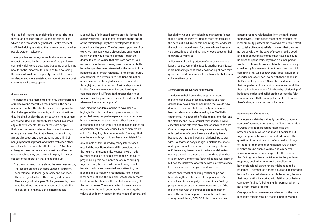the Head of Regeneration doing this for us. The local theatre arts college offered us one of their studios, which has been absolutely brilliant. Really practical stuff like helping us getting the drivers coming in, when people were on lockdown.'

These positive recordings of mutual admiration and respect triggered by the experience of the pandemic, some of which were pre-existing but some of which are new, form the important foundations for developing the sense of trust and reciprocity that will be required for deeper and more sustained collaborations in a post COVID-19 civil society space.

#### *Shared values*

Meanwhile, a faith-based service provider located in a deprived inner-urban context reflects on the nature of the relationship they have developed with their council over the years. 'They've been supportive of our work. We have really good discussions on a regular basis with individual council officers. I think the degree to shared values that motivate both of us is a commitment to overcoming poverty.' Another faithbased respondent was interested in the impact of the pandemic on interfaith relations. For this contributor, common values between faith traditions are not so much discovered through discussion as unearthed through joint, practical action. 'Partnership is about looking for win-win relationships, and looking for common ground. Different faith groups don't need to share anything in common, except the desire that where we live is a better place.'

The pandemic has highlighted not only the importance of rediscovering the values that underpin the sort of response that has thus far been seen in response to the challenges of the pandemic, and the motivations they inspire, but also the extent to which these values are shared. One local authority lead based in a small city authority reflects, 'It's clear there are people that have the same kind of motivation and values as other people have. And that is based on, you know, a mutual respect and understanding and a kind of non-judgmental approach and that's with each other, as well as the communities that we serve.' Another colleague, based in the same context, amplifies the range of values they see coming into play in the new spaces of collaboration that are opening up.

'It's the argument I make about the volunteer sector; that it's underpinned by good values of altruism, benevolence, kindness, generosity and patience. These are good values. These are good morals. These are good principles. To be governed by them is no bad thing. And the faith sector share similar values, but I think they can be more explicit.'

One thing the pandemic seems to have done is highlight the often hidden but powerful ways it has prompted many people to explore what connects and binds them together as citizens, rather than what disconnects and ruptures. The pandemic has been an opportunity for what one council leader memorably called 'pooling together commonalities' in ways that may be as much symbolic as they are legislated for.

An example of this, shared by many interviewees, recalled the way Ramadan and Eid coincided with the height of the pandemic. Requests were made by many mosques to be allowed to relay the call to prayer during this holy month as a way of bringing together many Muslims who were having to selfisolate or who were prevented from attending the mosque due to lockdown restrictions. After careful local consultations, the decision, was taken by many local authorities to allow the public broadcasting of the call to prayer. The overall effect however was to resonate for the wider, non-Muslim community, the values of solidarity, respect for the needs of others, and hospitality. A social cohesion lead manager reflected that it prompted them to imagine more empathically the needs of 'asylum seekers and refugees', and what the lockdown would mean for those whose 'lives are very precarious at this time, and whose access to their faith was very limited'.

A discovery of the importance of shared values, or at least a rediscovery of this fact, is another 'push' factor in an increasingly confident repositioning of both faith groups and statutory authorities into a potentially more collaborative space.

#### *Strengthening pre-existing relationships*

The desire to build on and strengthen existing relationships between local authorities and faith groups may have been an aspiration that would have developed over time, but it certainly seems to have been accelerated and deepened by the COVID-19 experience. The strength of existing relationships, and the stability and levels of trust they generate, were essential in the effective provision of services to date. One faith respondent in a busy inner-city authority reflected, 'A lot of council leads we already knew because we had good working relationships to start with. So, that was easy enough to pick up the phone or drop an email to someone to ask any questions or if there's any issues about the food or deliveries coming through. We were able to get through to them straightaway. Some of the [council] people were new in but had the right type of attitude with us…they already knew us, and…were happy to work with us..'

Others observed that existing relationships had been strengthened because of the pandemic. One council lead for a campaign to co-ordinate feeding programmes across a large city observed that 'The relationships with the churches and faith sector generally that have supported us in the past have strengthened during COVID-19. And there has been

a more proactive relationship from the faith groups themselves.' A faith-based respondent reflects that local authority partners are making a noticeable effort not to take offence at beliefs or values that they may not agree with, for the sake of preserving the good and harmonious relationships that have been built up since the pandemic. 'If you as a council person wanted to choose to work with faith communities, you could easily find a reason to not do so. You can pick something that was controversial about a number of agendas and say, "I can't work with these people if that's what they believe." Since the pandemic, I sense that people have chosen not to behave and work like that. I think there's now a fairly healthy relationship of both cooperation and collaboration across the faith communities with the local public sector. Of course, there's always more that could be done.'

#### *Governance and Partnership*

The interview data has already identified that one source of admiration on the part of local authorities towards their faith-based partners was their professionalism, which had made it easier to put together joint initiatives at very short notice. The question of perceptions of professionalism brings to the fore the theme of governance. Are the new insights around shared values, and a renewed sense of admiration and respect for the assets that faith groups have contributed to the pandemic response, beginning to prompt a recalibration of how professional partnerships might need to be imagined – perhaps on a more equal and accountable basis? As one faith-based contributor noted, the way their local authority worked with faith groups before COVID-19 felt like '… being a junior partner, which is not a comfortable feeling.'

One approach to governance evidenced by the data highlights the expectation that it is primarily about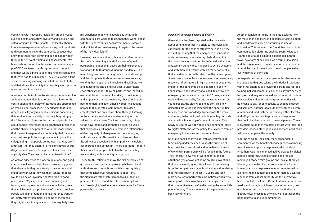complying with necessary legislation around issues such as health and safety, diversity and inclusion and safeguarding vulnerable people. One local authority interviewee expressed confidence they could work with faith communities over the pandemic, because they knew that these faith communities had already been through the relevant training and assessments. 'We have certainly found that based on our relationships pre-COVID we knew that this group would come in and they would adhere to all of the kind of regulations that we've had to put in place. They're following all the social distancing planning and all of that kind of stuff, and that shows their ability to absolutely step up to the mark and continue delivering.'

Another contributor from the statutory sector identifies a slightly broader definition – one that allows for the contribution and interplay of attitudes and approaches, as well as legal processes. They suggest that faith groups can allay any residual suspicions concerning their motivations or ability to do the job by bringing the following attributes to the partnership table: 'It's about good interpersonal skills, emotional intelligence and the ability to be proactive with that reassurance that there is transparent accountability, that there are cool business policies and procedures in place like safeguarding. That people are trained, that they aren't amateurs, that they operate to the same levels of due diligence and have a robust proven track record as anybody else. They need to be proactive with that.'

As well as adherence to proper regulations, and good interpersonal skills, a faith-based provider suggests that allowing faith groups to align their actions and initiatives with what they call their 'tenets' of belief would also be an invaluable contribution to good governance. 'My experience is as soon as good trusting working relationships are established, then that which could be a problem is often not a problem. People will align around the things that they want to do jointly rather than major on some of the things they might want to argue about. It has regularly been

my experience that where people see what faith communities are wanting to do, then they want to align with their endeavours. Local government strategies and policies don't need to weigh in against the tenets of the individual faiths.'

However, one local authority leader identifies perhaps the most far-reaching agenda for a reconfigured partnership relationship, based on their experience of working with faith-groups during the pandemic. 'The main thing I will keep coming back to is relationship, and that I suppose is about a commitment to a way of working that is open and inclusive and collaborative and codesigned and doing our best to understand each other's worlds. I think all partners and indeed our own staff found that way of working to be liberating and empowering in the emergency phase.' 'Doing our best to understand each other's worlds' is a striking phrase that suggests a commitment to a deep empathy that can only come about through listening to the experience of others, and reflecting on the values that drive them. The idea of empathy brings to the governance and partnership debate a value that expresses a willingness to work in a relationship of deep equality. It also generates more satisfying and creative work. This participant observes that the principles associated with empathy – inclusion, collaboration and co-design – were 'liberating' for both their council employees but also the partners they were working with, including faith groups.

These fruitful reflections move the dial over issues of governance and partnership working between local authorities and the faith sector. Whilst recognising that compliance over regulations is important, the significant role of interpersonal skills, aligning practices to 'tenets' and the role of empathy have also been highlighted as essential elements for future partnership success.

#### *Innovation in service design and delivery*

Given all that has been reported in the data so far about coming together in a crisis to improvise and experiment for the sake of effective service delivery, it is not surprising that the emergence of innovative and creative responses was regularly alluded to in the data. Many local authorities reflected with some amazement on how they managed to set up systems of distribution and referral within a matter of weeks that would have normally taken months or even years, Some have gone as far as redesigning their emergency response infrastructure, in light of the unprecedented impact of the pandemic on all aspects of society. For example, one authority abolished its centralised emergency response structure into 10 delegated cells, each with responsibility for one policy area (such as young people, the elderly, business etc.) This new delegated structure has expanded the opportunities for expertise and knowledge from across the whole community to be deployed, including faith groups who are providing leadership of some of the cells. This newly delegated way of working has continued, aided by digital platforms, as the policy focus moves from an emergency to a rescue and recovery phase.

One faith-based charity lead, with several years of fundraising under their belt, raises the question of how these less centralised and more bespoke ways of working in partnership will be funded in the future. They reflect, 'A new way of working through bad situations, you always get some amazing inventions that can be a really good. We all need to come away from the competitive side of fundraising and tendering that there has been in the last 10 years and look more seriously at partnership. Sometimes when we're working with other voluntary sector people, there is that competitive feel… we're all chasing the same little pots of money. This experience of the pandemic has been very different.'

Another consistent theme in the data explores how the move to the online world because of self-isolation and lockdown has been a surprising source of innovation. This research has found that use of digital communication platforms such as Zoom, Microsoft Teams and Chatbox is being experienced in three ways; as a form of exclusion, as a form of inclusion, and the urgent need to create new forms of etiquette around the use of these tools to avoid people feeling overwhelmed or burnt out.

As regards tackling exclusion, examples that emerged included a faith group taking the initiative in working with other charities to provide free iPads and laptops to marginalised communities such as asylum seekers, refugees and migrants, as well as those within isolated Black, Asian and ethnic minority communities with no means to pay for connectivity to essential goods and services. Another local authority teamed up with a faith-based food distributor working with vulnerable and off-grid individuals to provide mobile phones that could be distributed with the food parcels. These individuals could then maintain contact with their food providers, access other goods and services and link up with more people in the locality.

In terms of digital inclusion, many respondents commented on the beneficial consequences of moving to online meetings as a response to the pandemic. First there was the enhanced ability, created by digital meeting platforms, to hold ongoing and regular meetings between faith groups and local authorities. Meetings and networks that were scrambled as an immediate crisis response can now be patterned on a long-term and sustainable footing. Here is a typical response from a local authority via the survey: 'We have established a Faiths Group that meets every two weeks and through which we share information, test out changes and initiatives and work with them to distribute key messages as we strive to establish the right behaviours in our communities.'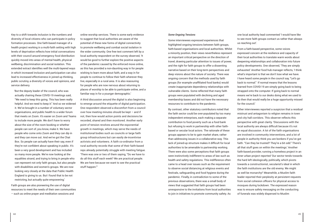Key to a shift towards inclusion is the numbers and diversity of local citizens who can participate in policy formation processes. One faith-based manager of a health project working in a multi-faith setting with high levels of deprivation reflects how initial conversations with their council around emergency food distribution quickly moved into areas of mental health, physical wellbeing, discrimination and social isolation. This extended extract identifies well the multi-layered ways in which increased inclusion and participation can also lead to increased effectiveness in joined up thinking, public scrutiny, a diversity of voices and opinions, and service delivery.

'But the deputy leader of the council, who was actually chairing these COVID-19 meetings said, "We need to keep this going. This has been really helpful. And we need to keep it." And so we widened it. We've brought in a number of voluntary sector organisations, and public health to a wider forum that meets on Zoom. It's easier on Zoom and Teams to include more people. We don't have to worry about the size of the room booking or whether people can sort of, you know, make it. We have people who come onto Zoom and they can dip in and they can move out. And we've got the Chat Box. So people can actually have their say, even if they're not confident about speaking in public. It's been a very good development and has included so many more people. We're now looking at the equalities strand, and trying to bring in people who can represent not only faith groups, but also people with disabilities and women's groups. We are now looking very closely at the data that Public Health England is giving to us. But I found that to be not restricting, but actually quite empowering.'

Faith groups are also pioneering the use of digital resources to meet the needs of their own communities – such as online prayer and meditation sessions and

online worship services. There is some early evidence to suggest that local authorities are aware of the potential of these new forms of digital connectivity to promote wellbeing and combat social isolation in the wider community. One free text comment left by a local authority respondent on the survey observed, 'It would be good to further explore the positive aspects of the pandemic caused by the enforced move online, as this has provided a non-daunting way in for people wishing to learn more about faith, and a way in for people to continue to follow their faith wherever they live, especially in a rural area. It is also reassuring for people who are now nervous about returning to places of worship to be able to participate online, and a familiar way in for a younger demographic.'

A third discussion around the digital is also beginning to emerge around the etiquette of digital participation. One respondent observed a discomfort from a council over how meeting minutes should be kept  $-$  and if not, then how would action points and decisions be recorded, shared and then monitored. Another early point of tension revolves around the exponential growth in meetings, which may serve the needs of institutional bodies such as councils or large faith group infrastructures but can easily de-incentivise activists and volunteers. A faith co-ordinator from a rural authority records that some of their faith-based reps already potentially struggle with meeting fatigue. 'There was one or two of them saying, "Do we have to do all this stuff each week? We are practical people. We are here because we want to see the practical stuff happen."'

#### *Some Ongoing Tensions*

Some interviewees expressed experiences that highlighted ongoing tensions between faith groups, faith-based organisations and local authorities. Whilst a minority position, their views nevertheless represent an important critical perspective on the direction of travel, drawing particular attention to issues of power, and the right for faith groups to offer a dissenting narrative based on their long-term perspectives and deep visions about the nature of society. There was ongoing concern that the methods used by faith groups (for example unaffiliated food banks) would create inappropriate dependency relationships with vulnerable clients. Some reflected that many faith groups were populated with declining and aged membership bases and did not have the necessary resources to contribute to the pandemic.

By contrast, other statutory contributors noted that the faith sector could be over-populated by too many independent enterprises, each making a separate contribution to food poverty such as a food bank but refusing to work in partnership with other faithbased or secular local actors. The rationale of these groups appears to be to gain market share, rather than addressing issues in a collaborative way. This lack of joined-up structure makes it difficult for local authorities to be amenable to partnership working. There were also some perceptions that faith groups were instinctively indifferent to areas of law such as health and safety regulations. This indifference often came to a head over issues such as the requirement to observe social distancing at religious events and festivals, safeguarding and food hygiene during the pandemic. Finally, in contradiction to some of the previous observations, there was a small body of views that suggested that faith groups had been unresponsive to the invitations from local authorities to join in initiatives to promote community safety. As

one local authority lead commented 'I would have like to see more faith groups contact us rather than always us reaching out'.

From a faith-based perspective, some voices expressed concern at the resilience and capacity of their local authorities to translate warm words about deepening relationships and collaboration into future policy developments. One observed, 'They are simply exhausted.' Another food hub manager reflects, 'I think what's important is that we don't lose what we have. I have heard some people in the council say, "Let's go back to normal." If normal means that the lessons learned from COVID-19 are simply going back to being strapped onto the computer. If going back to normal means we're back to our desks doing what we used to do then that would really be a huge opportunity missed for the council.'

Other interviewees reported a suspicion that a residual mistrust and antagonism to religion remains in town and city hall corridors. This observer reflects this perspective with great clarity. 'Discussions with the local authority are always difficult because it's not an equal discussion. A lot of the faith organisations are involved in community interventions, and a lot of people in authority think you are bonkers if you've got faith. "Can they be trusted? They're a bit odd." There's all that stuff goes on within the meetings.' Another faith-based provider, running a homeless project in an inner urban project reported 'Our sector tends towards the hard left ideologically, politically, which pivots towards a constructionist, secularist's ideal in which the faith institutions are the old enemy. We might as well be monarchy!' Meanwhile, a Muslim faith leader reported their perplexity at persistent requests from social cohesion officers for physical access to mosques during lockdown. The expressed reason was to ensure safety messaging on the conducting of funerals was widely dispersed to Muslim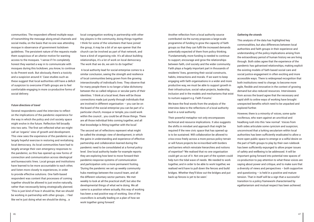communities. The respondent offered multiple ways of transmitting the message along email channels and social media, on the basis that no-one was attending mosque in observance of government lockdown guidelines. The persistent nature of the requests made them suspicious of an ulterior motive for wanting access to the mosques. 'I sense if I'm completely honest they wanted a way in to communicate with mosques during this lockdown, you know, to continue to do Prevent work. But obviously, there's a toxicity and a suspicion around it.' Case studies such as these suggest that local authorities still have a deficit of suspicion to overcome if faith groups are to feel comfortable engaging in more co-productive forms of social delivery.

#### *Future directions of travel*

Several respondents used the interview to reflect on the implications of the pandemic experience for the way in which the policy and civil society space might evolve in the future. Reflection fell broadly into two sets. The first set reflected what we might call an 'organic' view of growth and development. This view sees the experience of the pandemic as a largely hopeful exercise in restoring and revitalising local democracy. As local communities have had to largely arrange their own emergency responses to the pandemic, so this has opened up new forms of connection and communication across ideological and bureaucratic lines. Local groups and institutions have learned to be more accountable to each other, and listen more closely to experiences, in order to provide effective solutions. One faith-based respondent was content that processes of coming together should be allowed to just evolve naturally, rather than necessarily being strategically planned. 'This is just kind of how it should be, that we should be working in partnership with other groups... I feel like we're just doing what we should be doing… a

local congregation working in partnership with other key players in the community, doing things together. I think for some of the volunteers that have joined the group, it may be a bit of an eye opener that the church can be involved as part of that network, and have a kind of organising role. It's all about building relationships, it's a lot of work on local democracy. The work that we do, we aim to do together.'

 A local authority lead for social enterprise comes to a similar conclusion, seeing the strength and resilience of local communities being grown from the growing intersectionality of individual's lives. They observe that for many people there is no longer a false dichotomy between the so called religious or secular parts of their identities. 'I think at a local level, there will be those connections made just purely through individuals that are involved in different organisation – you can be on the board of the social enterprise you can be part of a particular church, mosque or temple, you could work within the council… you could be all those things. There are all those individual links coming together, and all that knowledge is fitting together with the local.'

The second set of reflections represent what might be called the strategic view of development, in which the gains in understanding and experience of effective partnership and collaboration learned during the pandemic need to be consolidated at a formal policy level. One local authority leader for example reports they are exploring how best to move forward their pandemic-response systems of communication and participation onto a more permanent footing. 'During the pandemic we set up weekly community hubs meetings between the council team, and all the different voluntary sector partners. We met weekly to look at all the practical stuff, but also the developmental things of what we're doing. We all came to a position where actually, this way of working has been a real positive way of working. One of the councillors is actually leading on a plan of how we work together going forward.'

Another reflection from a local authority source contributed via the survey proposes a large-scale programme of funding to grow the capacity of faith groups so that they can fulfil the increased demands potentially expected of them from policy thinking. 'Fundamentally, more funding is needed to continue to support, encourage and grow the relationships between faith, civil society and the wider community. Faith plays a hugely important part in thousands of residents' lives, governing their social constructs, habits, interactions and morals. If we want to keep engaging with faith organisations in a wider and more productive way, we must be able to support growth in their infrastructure, social value projects, leadership, inclusion and in the models and mechanisms that exist to nurture support e.g. Faith Forums.'

We leave the final words from the analysis of the interview data to the reflections of a local authority lead in a rural authority.

Their powerful metaphor not only encompasses technical and resource implications. It also suggests the shifts in mindset and approach that might be required if the new civic space that has opened up is to be sustained. Will collaboration be allowed to criss-cross freely across a more porous policy terrain or will future projects be re-inscribed with borders and barriers which reinstate hierarchies and notions of expertise? 'We realised that no one organisation could get us out of it. Not one part of the system could help turn the tidal wave of needs. We needed to work together, and in order to be able to work together, we realised we'd have to pull down the fences and build bridges. Whether they'll blow out the bridges and put back up fences is yet to be seen.'

#### *Gathering the strands*

This analysis of the data has highlighted key commonalities, but also differences between local authorities and faith groups in their experience and understanding of the policy implications arising from the extraordinary period of human history we are living through. Both sides agree that the experience of the pandemic has galvanised relationships, making explicit the existing models of faith based social care and social justice engagement in often exciting and more accessible ways. There is widespread recognition that both institutions need to change; to become more agile, flexible and innovative in the context of growing demand but also reduced resources. Interviewees from across the board agree that the necessary and rapid shift to online ways of working have brought unexpected benefits which need to be unpacked and explored further.

However, there is a minority of voices, some quite vociferous, who warn against an uncritical and headlong rush into this 'new normal'. Voices from both sides articulate some cynicism and suspicion; unconvinced that a lurking secularism within local authorities has been sufficiently eradicated to allow a more open public space to emerge or a wilful desire on the part of faith groups to play by their own rulebook has been sufficiently expunged to allow proper issues of safety and wellbeing to be addressed. It will be important going forward into potential new spaces of co-production to pay attention to what these voices are saying about power and critique, and to make sure that a diversity of views and perspectives – both supportive and questioning  $-$  is held in a positive and mature tension. That in itself will be a sign that a successful transition to a policy framework characterised by egalitarianism and mutual respect has been achieved.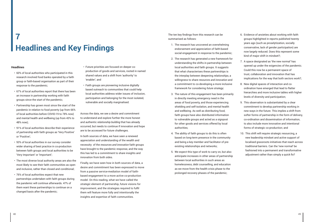## **Headlines and Key Findings 7**

#### **Headlines**

- 60% of local authorities who participated in this research involved food banks operated by a faith group or faith-based organisation as part of their response to the pandemic;
- 67% of local authorities report that there has been an increase in partnership working with faith groups since the start of the pandemic;
- Partnership has grown most since the start of the pandemic in relation to food poverty (up from 66% of local authorities before COVID-19 to 78% now) and mental health and wellbeing (up from 43% to 48% now);
- 91% of local authorities describe their experience of partnership with faith groups as 'Very Positive' or 'Positive';
- 93% of local authorities in our survey consider wider sharing of best practice in co-production between faith groups and local authorities to be 'Very Important' or 'Important';
- The most diverse local authority areas are also the most likely to see their faith communities as open and inclusive, rather than closed and conditional;
- 76% of local authorities expect that new partnerships undertaken with faith groups during the pandemic will continue afterwards. 47% of them want these partnerships to continue on a changed basis after the pandemic;
- Future priorities are focused on deeper coproduction of goods and services, rooted in named shared values and a shift from 'authority' to 'enabler'; and
- Faith groups are pioneering inclusive digitally based outreach to communities that could help local authorities address wider issues of inclusion, participation and belonging for the most isolated, vulnerable and socially marginalised.

Across the data, we see a desire and commitment to understand and explore further the more honest and authentic *relationship building* that has already occurred, but needs to continue if innovation and hope are to be accessed for future challenges.

In both sources of data, we have seen a renewed appreciation and understanding of the wealth and necessity of the *resources and innovation* faith groups have brought to the pandemic response, and the way this has led to a commitment to share insights and innovation from both sides.

Finally, we have seen how in both sources of data, a desire and commitment has been expressed to move from a passive service-mediation model of faithbased engagement to a more active co-production model. On this reading, what we have called the *strategic* element of partnership, future visions for improvement, and the strategies required to fulfil them will feature more fully and intentionally the insights and expertise of faith communities.

The ten key findings from this research can be summarised as follows:

- 1. The research has uncovered an overwhelming endorsement and appreciation of faith-based social engagement in response to the pandemic;
- 2. The research has generated a new framework for understanding the shifts in partnership between local authorities and faith groups. It suggests that what characterises these partnerships is the interplay between deepening *relationships*, a willingness to share *resources and innovation* and a commitment to co-developing a more inclusive framework for considering *future strategy*;
- 3. The nature of this engagement has been primarily in directly meeting emergency need in the areas of food poverty, and those experiencing shielding and self-isolation, and mental health and wellbeing. As well as distributing food, faith groups have also distributed information to vulnerable groups and acted as a signpost for other goods and services offered by local authorities;
- 4. The ability of faith groups to do this is often based on long-term presence in the community and being a key member and facilitator of preexisting relationships and networks;
- 5. We expect this type of work to carry on, but also anticipate increases in other areas of partnership between local authorities in such areas as homelessness, debt counselling, and education as we move from the health crisis phase to the prolonged recovery phases of the pandemic;
- 6. Evidence of anxieties about working with faith groups highlighted in reports published twenty years ago (such as proselytization, socially conservative, lack of gender participation) are now largely reduced. Does this represent some kind of major shift in mindset?;
- 7. A space designated as 'the new normal' has opened up under the exigencies of the pandemic. Could this now be a permanent space of trust, collaboration and innovation that has implications for the way that both sectors work?;
- 8. New digital spaces of interaction and coordination have emerged that lead to flatter hierarchies and more inclusive tables with higher levels of diversity and participation;
- 9. This observation is substantiated by a clear commitment to develop partnership working in new ways in the future. This implies a shift from softer forms of partnership in the form of delivery, co-ordination and dissemination of information, to also include more innovative and intentional forms of strategic co-production; and
- 10. This shift will require strategic resourcing, a new leadership mindset and active support of localised grassroots initiatives that reach across traditional barriers. Can the 'new normal' be fashioned into a permanent and transformative adjustment rather than simply a quick fix?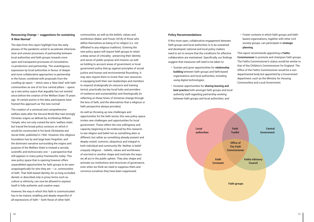#### **Resourcing Change – suggestions for sustaining 'A New Normal'**

The data from this report highlight how the early phases of the pandemic acted to accelerate otherwise slow and uneven processes of partnership between local authorities and faith groups towards more open and transparent processes of consultation, co-production and partnership. The unambiguous expression by local authorities in favour of deeper and more collaborative approaches to partnership in the future, combined with proposals from the *Levelling Up* report – which sees a 'New Deal' with faith communities as one of its four central pillars – opens up a new policy space that arguably has not existed since before the creation of the Welfare State 75 years ago. At certain points in the data, participants have framed this approach as 'the new normal'.

The creation of a universal and comprehensive welfare state after the Second World War had strongly Christian origins as defined by Archbishop William Temple, who not only coined the term 'welfare state', but traced the broad policy contours on which it would be constructed in his book *Christianity and Social Order*, published in 1942. However, this religious foundation has by and large been forgotten, and the dominant narrative surrounding the origins and purpose of the Welfare State is instead a secular, scientific and technocratic one – a perspective that still appears in many policy frameworks today. This new policy space that is opening however offers unparalleled opportunities for faith groups to be seen unapologetically for who they are  $-$  i.e. communities of *faith*. That faith-based identity, for so long occluded, denied, or described only in proxy terms such as culture or ethnicity, can now be allowed to express itself in fully authentic and creative ways.

However, the way in which this faith is communicated has to be mature, enabling and deeply respectful of all expressions of faith – both those of other faith

communities, as well as the beliefs, values and worldviews (Baker and Power, 2018) of those who define themselves as being of no religion (i.e. not affiliated to any religious tradition). Entering the new policy space will require faith groups to retain a deep sense of criticality; preserving their identity and sense of public purpose and mission, as well as holding to account areas of government or local government policy that go against principles of social justice and human and environmental flourishing. It may also require them to invest their own resources in equipping both their own leaderships and members to respond strategically (in resource and training terms), practically (as key local hubs and providers of resilience and sustainability) and theologically (in reflecting on these times of immense change through the lens of faith, and the alternatives that a religious or faith perspective always provides).

As well as throwing up new challenges and opportunities for the faith sector, this new policy space invites new challenges and opportunities for local government. These reflect the new willingness and capacity, beginning to be evidenced by this research, to see religion and belief not as something alien or different, but rather as something already present and deeply rooted; common, ubiquitous and integral to both individual and community life. Neither is belief uniquely religious  $-$  beliefs, values and worldviews of one kind or another shape and motivate the ways we all act in the public sphere. They also shape and animate our institutions and structures of governance, even when we think we need to suppress them and convince ourselves they have been suppressed.

#### **Policy Recommendations**

If this more open, collaborative engagement between faith groups and local authorities is to be sustained and developed, national and local policy makers need to act to ensure that the conditions for effective collaboration are maintained. Specifically, our findings suggest that measures will need to be taken to:

- Sustain and grow opportunities for **relationship building** between faith groups and faith-based organisations and local authorities, including using digital technologies;
- Increase opportunities for **sharing learning and best practice** both amongst faith groups and local authority staff regarding partnership working between faith groups and local authorities; and

• Foster contexts in which faith groups and faithbased organisations, together with other civil society groups, can participate in **strategic planning**.

This report recommends appointing a **Faiths Commissioner** to promote and champion faith groups. The Faiths Commissioner's status would be similar to that of the Children's Commissioner for England. The Office of the Faiths Commissioner would be a nondepartmental body but appointed by a Government department, such as the Ministry for Housing Communities and Local Government.

**Local authorities**

**Faith groups**



**Faith Toolkit**

**Office of The Faith Commissioner**

**Faith Covenant**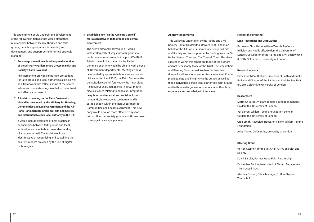This appointment could underpin the development of the following initiatives that would strengthen relationships between local authorities and faith groups, provide opportunities for learning and development, and support better informed strategic planning:

1. **Encourage the nationwide widespread adoption of the All-Party Parliamentary Group on Faith and Society's Faith Covenant.**

This agreement provides important protections for faith groups and local authorities alike, as well as a framework that reflects some of the shared values and understandings needed to foster trust and effective partnership.

2. **A toolkit – drawing on the Faith Covenant – should be developed by the Ministry for Housing, Communities and Local Government and the All-Party Parliamentary Group on Faith and Society and distributed to each local authority in the UK.**

It would include examples of best practice in partnerships between faith groups and local authorities and aim to build an understanding of what works well. The toolkit would also identify ways of recognising and sustaining the positive impacts provided by the use of digital technologies.

### 3. **Establish a new "Faiths Advisory Council" for liaison between faith groups and central Government**.

The new "Faiths Advisory Council" would look strategically at ways for faith groups to contribute to improvements in a post-COVID-19 Britain. It would be chaired by the Faiths Commissioner, who would be able to work across all Government departments. Meetings would be attended by appropriate Ministers and senior civil servants. Until 2012, the Faith Communities Consultative Council (previously the Inner Cities Religious Council, established in 1992) met to discuss issues relating to cohesion, integration, neighbourhood renewal, and social inclusion. Its agenda, however, was too narrow and it sat too deeply within the then Department for Communities and Local Government. This new body would develop more effective ways for faiths, other civil society groups and Government to engage in strategic planning.

#### **Acknowledgements**

This work was undertaken by the Faiths and Civil Society Unit at Goldsmiths, University of London on behalf of the All-Party Parliamentary Group on Faith and Society and was supported by funding from the Sir Halley Stewart Trust and The Trussell Trust. The views expressed within this report are those of the authors and not necessarily those of the Trust. The researchers and Steering Group would like to offer their deep thanks for all from local authorities across the UK who provided data and insights via the survey, as well as those individuals across local authorities, faith groups and faith-based organisations, who shared their time, experience and knowledge in interviews.

### **Research Personnel**

#### **Lead Researcher and Lead Author**

Professor Chris Baker, William Temple Professor of Religion and Public Life, Goldsmiths University of London, Co-Director of the Faiths and Civil Society Unit (FCSU), Goldsmiths, University of London

#### **Research Advisor**

Professor Adam Dinham, Professor of Faith and Public Policy and Director of the Faiths and Civil Society Unit (FCSU), Goldsmiths University of London

#### **Researchers**

Matthew Barber, William Temple Foundation Scholar, Goldsmiths, University of London.

Val Barron, William Temple Foundation Scholar, Goldsmiths, University of London.

Greg Smith, Associate Research Fellow, William Temple Foundation.

Andy Turner, Goldsmiths, University of London.

#### **Steering Group**

Rt Hon Stephen Timms MP, Chair APPG on Faith and Society.

David Barclay, Partner, Good Faith Partnership.

Dr Heather Buckingham, Head of Church Engagement, The Trussell Trust.

Alasdair Gordon, Office Manager, Rt Hon Stephen Timms MP.